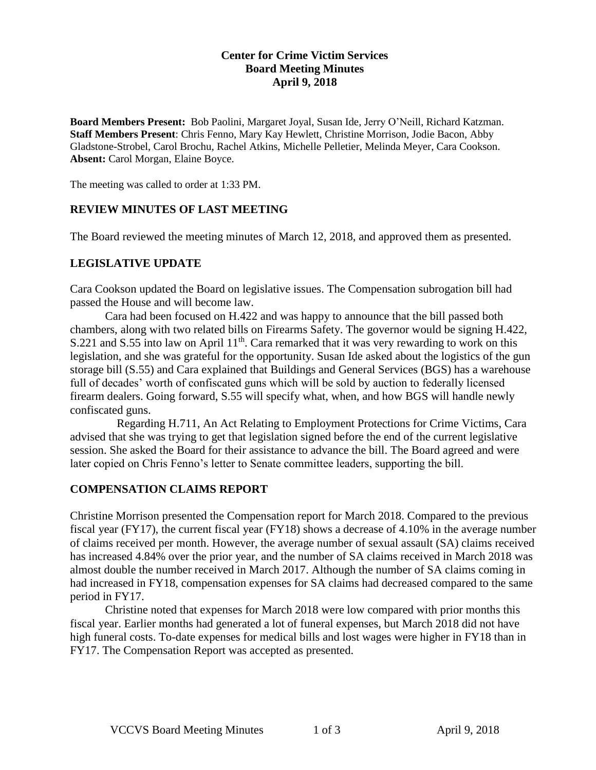## **Center for Crime Victim Services Board Meeting Minutes April 9, 2018**

**Board Members Present:** Bob Paolini, Margaret Joyal, Susan Ide, Jerry O'Neill, Richard Katzman. **Staff Members Present**: Chris Fenno, Mary Kay Hewlett, Christine Morrison, Jodie Bacon, Abby Gladstone-Strobel, Carol Brochu, Rachel Atkins, Michelle Pelletier, Melinda Meyer, Cara Cookson. **Absent:** Carol Morgan, Elaine Boyce.

The meeting was called to order at 1:33 PM.

## **REVIEW MINUTES OF LAST MEETING**

The Board reviewed the meeting minutes of March 12, 2018, and approved them as presented.

## **LEGISLATIVE UPDATE**

Cara Cookson updated the Board on legislative issues. The Compensation subrogation bill had passed the House and will become law.

Cara had been focused on H.422 and was happy to announce that the bill passed both chambers, along with two related bills on Firearms Safety. The governor would be signing H.422, S.221 and S.55 into law on April  $11<sup>th</sup>$ . Cara remarked that it was very rewarding to work on this legislation, and she was grateful for the opportunity. Susan Ide asked about the logistics of the gun storage bill (S.55) and Cara explained that Buildings and General Services (BGS) has a warehouse full of decades' worth of confiscated guns which will be sold by auction to federally licensed firearm dealers. Going forward, S.55 will specify what, when, and how BGS will handle newly confiscated guns.

 Regarding H.711, An Act Relating to Employment Protections for Crime Victims, Cara advised that she was trying to get that legislation signed before the end of the current legislative session. She asked the Board for their assistance to advance the bill. The Board agreed and were later copied on Chris Fenno's letter to Senate committee leaders, supporting the bill.

## **COMPENSATION CLAIMS REPORT**

Christine Morrison presented the Compensation report for March 2018. Compared to the previous fiscal year (FY17), the current fiscal year (FY18) shows a decrease of 4.10% in the average number of claims received per month. However, the average number of sexual assault (SA) claims received has increased 4.84% over the prior year, and the number of SA claims received in March 2018 was almost double the number received in March 2017. Although the number of SA claims coming in had increased in FY18, compensation expenses for SA claims had decreased compared to the same period in FY17.

Christine noted that expenses for March 2018 were low compared with prior months this fiscal year. Earlier months had generated a lot of funeral expenses, but March 2018 did not have high funeral costs. To-date expenses for medical bills and lost wages were higher in FY18 than in FY17. The Compensation Report was accepted as presented.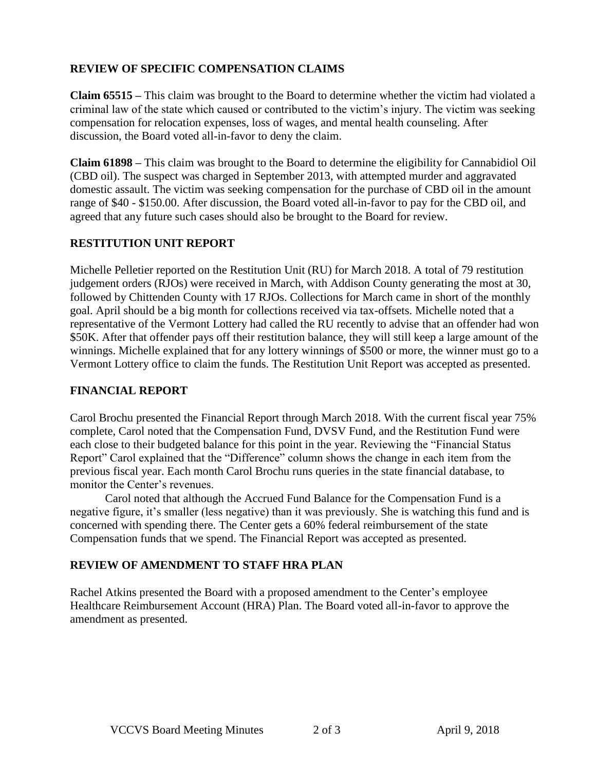# **REVIEW OF SPECIFIC COMPENSATION CLAIMS**

**Claim 65515 –** This claim was brought to the Board to determine whether the victim had violated a criminal law of the state which caused or contributed to the victim's injury. The victim was seeking compensation for relocation expenses, loss of wages, and mental health counseling. After discussion, the Board voted all-in-favor to deny the claim.

**Claim 61898 –** This claim was brought to the Board to determine the eligibility for Cannabidiol Oil (CBD oil). The suspect was charged in September 2013, with attempted murder and aggravated domestic assault. The victim was seeking compensation for the purchase of CBD oil in the amount range of \$40 - \$150.00. After discussion, the Board voted all-in-favor to pay for the CBD oil, and agreed that any future such cases should also be brought to the Board for review.

## **RESTITUTION UNIT REPORT**

Michelle Pelletier reported on the Restitution Unit (RU) for March 2018. A total of 79 restitution judgement orders (RJOs) were received in March, with Addison County generating the most at 30, followed by Chittenden County with 17 RJOs. Collections for March came in short of the monthly goal. April should be a big month for collections received via tax-offsets. Michelle noted that a representative of the Vermont Lottery had called the RU recently to advise that an offender had won \$50K. After that offender pays off their restitution balance, they will still keep a large amount of the winnings. Michelle explained that for any lottery winnings of \$500 or more, the winner must go to a Vermont Lottery office to claim the funds. The Restitution Unit Report was accepted as presented.

## **FINANCIAL REPORT**

Carol Brochu presented the Financial Report through March 2018. With the current fiscal year 75% complete, Carol noted that the Compensation Fund, DVSV Fund, and the Restitution Fund were each close to their budgeted balance for this point in the year. Reviewing the "Financial Status Report" Carol explained that the "Difference" column shows the change in each item from the previous fiscal year. Each month Carol Brochu runs queries in the state financial database, to monitor the Center's revenues.

Carol noted that although the Accrued Fund Balance for the Compensation Fund is a negative figure, it's smaller (less negative) than it was previously. She is watching this fund and is concerned with spending there. The Center gets a 60% federal reimbursement of the state Compensation funds that we spend. The Financial Report was accepted as presented.

# **REVIEW OF AMENDMENT TO STAFF HRA PLAN**

Rachel Atkins presented the Board with a proposed amendment to the Center's employee Healthcare Reimbursement Account (HRA) Plan. The Board voted all-in-favor to approve the amendment as presented.